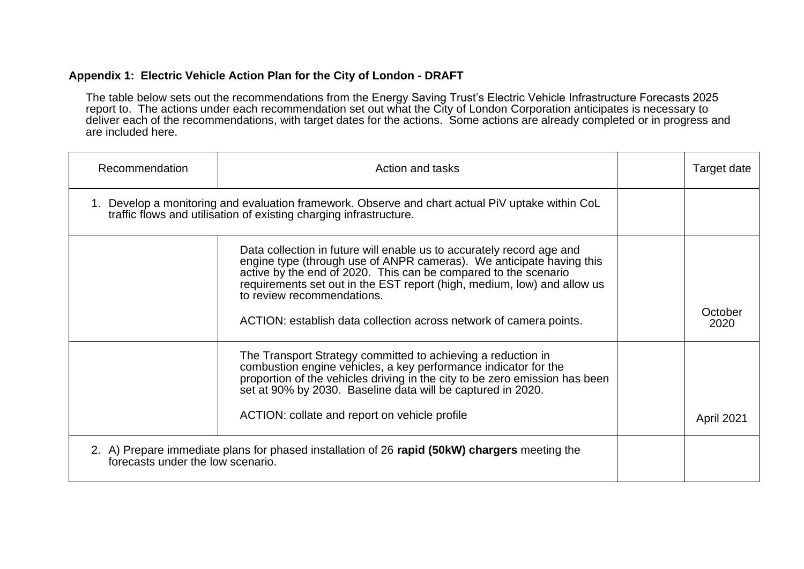## **Appendix 1: Electric Vehicle Action Plan for the City of London - DRAFT**

The table below sets out the recommendations from the Energy Saving Trust's Electric Vehicle Infrastructure Forecasts 2025 report to. The actions under each recommendation set out what the City of London Corporation anticipates is necessary to deliver each of the recommendations, with target dates for the actions. Some actions are already completed or in progress and are included here.

| Recommendation                    | Action and tasks                                                                                                                                                                                                                                                                                                          | Target date     |
|-----------------------------------|---------------------------------------------------------------------------------------------------------------------------------------------------------------------------------------------------------------------------------------------------------------------------------------------------------------------------|-----------------|
|                                   | 1. Develop a monitoring and evaluation framework. Observe and chart actual PiV uptake within CoL<br>traffic flows and utilisation of existing charging infrastructure.                                                                                                                                                    |                 |
|                                   | Data collection in future will enable us to accurately record age and<br>engine type (through use of ANPR cameras). We anticipate having this<br>active by the end of 2020. This can be compared to the scenario<br>requirements set out in the EST report (high, medium, low) and allow us<br>to review recommendations. |                 |
|                                   | ACTION: establish data collection across network of camera points.                                                                                                                                                                                                                                                        | October<br>2020 |
|                                   | The Transport Strategy committed to achieving a reduction in<br>combustion engine vehicles, a key performance indicator for the<br>proportion of the vehicles driving in the city to be zero emission has been<br>set at 90% by 2030. Baseline data will be captured in 2020.                                             |                 |
|                                   | ACTION: collate and report on vehicle profile                                                                                                                                                                                                                                                                             | April 2021      |
| forecasts under the low scenario. | 2. A) Prepare immediate plans for phased installation of 26 rapid (50kW) chargers meeting the                                                                                                                                                                                                                             |                 |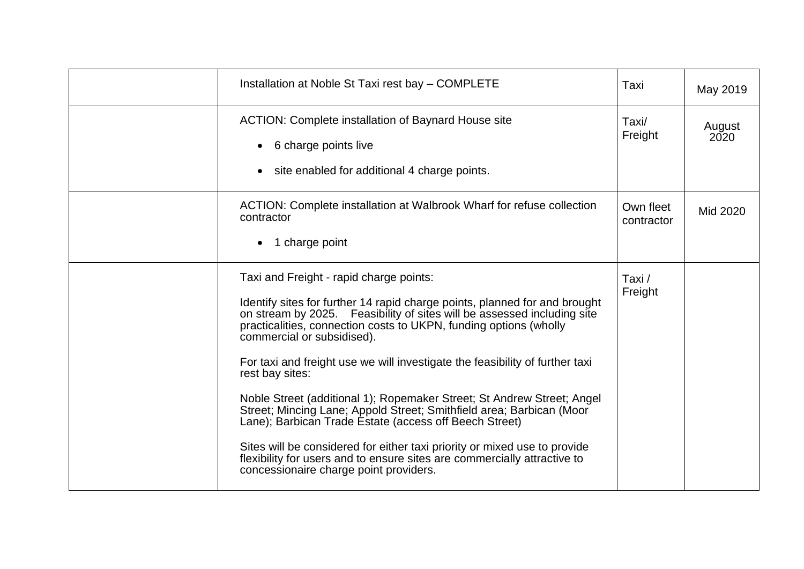| Installation at Noble St Taxi rest bay - COMPLETE                                                                                                                                                                                                                                                                                                                                                                                                                                                                                                                                                                                                                                                                                                                                                                     | Taxi                    | May 2019       |
|-----------------------------------------------------------------------------------------------------------------------------------------------------------------------------------------------------------------------------------------------------------------------------------------------------------------------------------------------------------------------------------------------------------------------------------------------------------------------------------------------------------------------------------------------------------------------------------------------------------------------------------------------------------------------------------------------------------------------------------------------------------------------------------------------------------------------|-------------------------|----------------|
| <b>ACTION: Complete installation of Baynard House site</b><br>6 charge points live<br>site enabled for additional 4 charge points.                                                                                                                                                                                                                                                                                                                                                                                                                                                                                                                                                                                                                                                                                    | Taxi/<br>Freight        | August<br>2020 |
| ACTION: Complete installation at Walbrook Wharf for refuse collection<br>contractor<br>1 charge point                                                                                                                                                                                                                                                                                                                                                                                                                                                                                                                                                                                                                                                                                                                 | Own fleet<br>contractor | Mid 2020       |
| Taxi and Freight - rapid charge points:<br>Identify sites for further 14 rapid charge points, planned for and brought<br>on stream by 2025. Feasibility of sites will be assessed including site<br>practicalities, connection costs to UKPN, funding options (wholly<br>commercial or subsidised).<br>For taxi and freight use we will investigate the feasibility of further taxi<br>rest bay sites:<br>Noble Street (additional 1); Ropemaker Street; St Andrew Street; Angel<br>Street; Mincing Lane; Appold Street; Smithfield area; Barbican (Moor<br>Lane); Barbican Trade Estate (access off Beech Street)<br>Sites will be considered for either taxi priority or mixed use to provide<br>flexibility for users and to ensure sites are commercially attractive to<br>concessionaire charge point providers. | Taxi /<br>Freight       |                |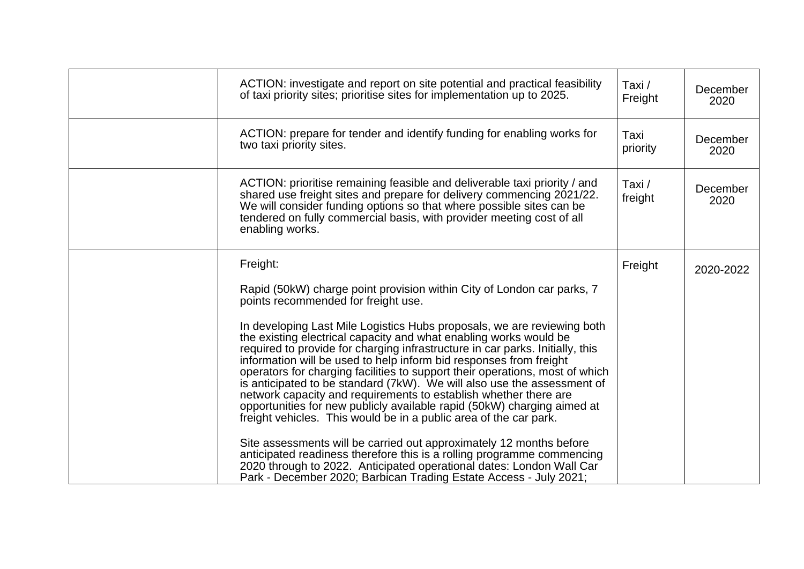| ACTION: investigate and report on site potential and practical feasibility<br>of taxi priority sites; prioritise sites for implementation up to 2025.                                                                                                                                                                                                                                                                                                                                                                                                                                                                                                                                                                                                                                                                                                                                                                                                                                                                                                                                                         | Taxi /<br>Freight | December<br>2020 |
|---------------------------------------------------------------------------------------------------------------------------------------------------------------------------------------------------------------------------------------------------------------------------------------------------------------------------------------------------------------------------------------------------------------------------------------------------------------------------------------------------------------------------------------------------------------------------------------------------------------------------------------------------------------------------------------------------------------------------------------------------------------------------------------------------------------------------------------------------------------------------------------------------------------------------------------------------------------------------------------------------------------------------------------------------------------------------------------------------------------|-------------------|------------------|
| ACTION: prepare for tender and identify funding for enabling works for<br>two taxi priority sites.                                                                                                                                                                                                                                                                                                                                                                                                                                                                                                                                                                                                                                                                                                                                                                                                                                                                                                                                                                                                            | Taxi<br>priority  | December<br>2020 |
| ACTION: prioritise remaining feasible and deliverable taxi priority / and<br>shared use freight sites and prepare for delivery commencing 2021/22.<br>We will consider funding options so that where possible sites can be<br>tendered on fully commercial basis, with provider meeting cost of all<br>enabling works.                                                                                                                                                                                                                                                                                                                                                                                                                                                                                                                                                                                                                                                                                                                                                                                        | Taxi/<br>freight  | December<br>2020 |
| Freight:<br>Rapid (50kW) charge point provision within City of London car parks, 7<br>points recommended for freight use.<br>In developing Last Mile Logistics Hubs proposals, we are reviewing both<br>the existing electrical capacity and what enabling works would be<br>required to provide for charging infrastructure in car parks. Initially, this<br>information will be used to help inform bid responses from freight<br>operators for charging facilities to support their operations, most of which<br>is anticipated to be standard (7kW). We will also use the assessment of<br>network capacity and requirements to establish whether there are<br>opportunities for new publicly available rapid (50kW) charging aimed at<br>freight vehicles. This would be in a public area of the car park.<br>Site assessments will be carried out approximately 12 months before<br>anticipated readiness therefore this is a rolling programme commencing<br>2020 through to 2022. Anticipated operational dates: London Wall Car<br>Park - December 2020; Barbican Trading Estate Access - July 2021; | Freight           | 2020-2022        |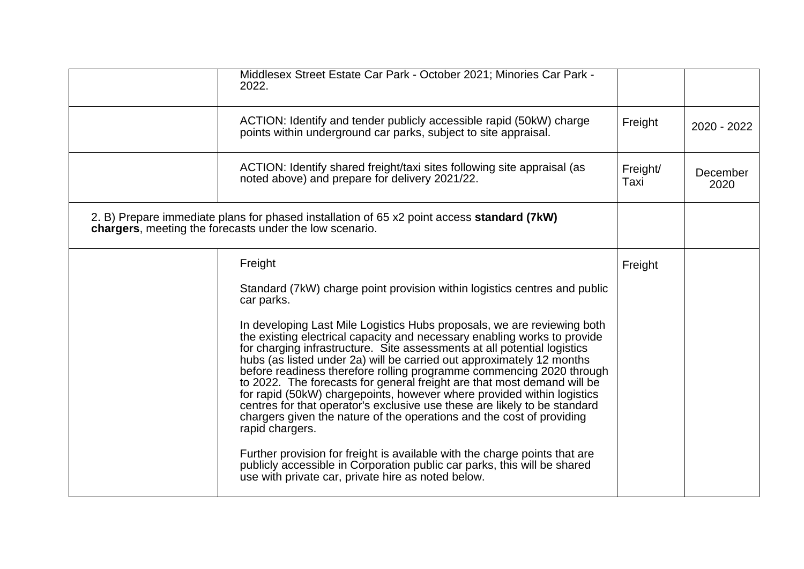| Middlesex Street Estate Car Park - October 2021; Minories Car Park -<br>2022.                                                                                                                                                                                                                                                                                                                                                                                                                                                                                                                                                                                                                                                                                                                |                  |                  |
|----------------------------------------------------------------------------------------------------------------------------------------------------------------------------------------------------------------------------------------------------------------------------------------------------------------------------------------------------------------------------------------------------------------------------------------------------------------------------------------------------------------------------------------------------------------------------------------------------------------------------------------------------------------------------------------------------------------------------------------------------------------------------------------------|------------------|------------------|
| ACTION: Identify and tender publicly accessible rapid (50kW) charge<br>points within underground car parks, subject to site appraisal.                                                                                                                                                                                                                                                                                                                                                                                                                                                                                                                                                                                                                                                       | Freight          | 2020 - 2022      |
| ACTION: Identify shared freight/taxi sites following site appraisal (as<br>noted above) and prepare for delivery 2021/22.                                                                                                                                                                                                                                                                                                                                                                                                                                                                                                                                                                                                                                                                    | Freight/<br>Taxi | December<br>2020 |
| 2. B) Prepare immediate plans for phased installation of 65 x2 point access standard (7kW)<br>chargers, meeting the forecasts under the low scenario.                                                                                                                                                                                                                                                                                                                                                                                                                                                                                                                                                                                                                                        |                  |                  |
| Freight                                                                                                                                                                                                                                                                                                                                                                                                                                                                                                                                                                                                                                                                                                                                                                                      | Freight          |                  |
| Standard (7kW) charge point provision within logistics centres and public<br>car parks.                                                                                                                                                                                                                                                                                                                                                                                                                                                                                                                                                                                                                                                                                                      |                  |                  |
| In developing Last Mile Logistics Hubs proposals, we are reviewing both<br>the existing electrical capacity and necessary enabling works to provide<br>for charging infrastructure. Site assessments at all potential logistics<br>hubs (as listed under 2a) will be carried out approximately 12 months<br>before readiness therefore rolling programme commencing 2020 through<br>to 2022. The forecasts for general freight are that most demand will be<br>for rapid (50kW) chargepoints, however where provided within logistics<br>centres for that operator's exclusive use these are likely to be standard<br>chargers given the nature of the operations and the cost of providing<br>rapid chargers.<br>Further provision for freight is available with the charge points that are |                  |                  |
| publicly accessible in Corporation public car parks, this will be shared<br>use with private car, private hire as noted below.                                                                                                                                                                                                                                                                                                                                                                                                                                                                                                                                                                                                                                                               |                  |                  |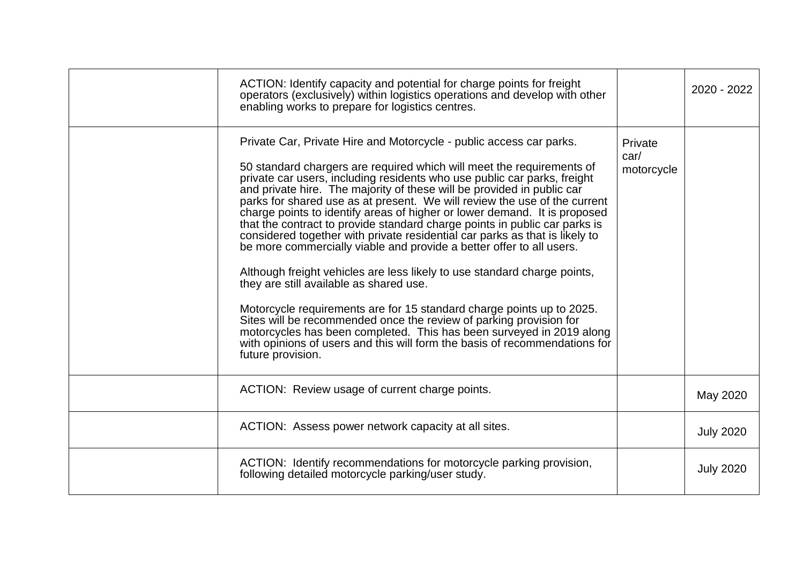| ACTION: Identify capacity and potential for charge points for freight<br>operators (exclusively) within logistics operations and develop with other<br>enabling works to prepare for logistics centres.                                                                                                                                                                                                                                                                                                                                                                                                                                                                                                                                                                                                                                                                                                                                                                                                                                                                                                                                            |                               | 2020 - 2022      |
|----------------------------------------------------------------------------------------------------------------------------------------------------------------------------------------------------------------------------------------------------------------------------------------------------------------------------------------------------------------------------------------------------------------------------------------------------------------------------------------------------------------------------------------------------------------------------------------------------------------------------------------------------------------------------------------------------------------------------------------------------------------------------------------------------------------------------------------------------------------------------------------------------------------------------------------------------------------------------------------------------------------------------------------------------------------------------------------------------------------------------------------------------|-------------------------------|------------------|
| Private Car, Private Hire and Motorcycle - public access car parks.<br>50 standard chargers are required which will meet the requirements of<br>private car users, including residents who use public car parks, freight<br>and private hire. The majority of these will be provided in public car<br>parks for shared use as at present. We will review the use of the current<br>charge points to identify areas of higher or lower demand. It is proposed<br>that the contract to provide standard charge points in public car parks is<br>considered together with private residential car parks as that is likely to<br>be more commercially viable and provide a better offer to all users.<br>Although freight vehicles are less likely to use standard charge points,<br>they are still available as shared use.<br>Motorcycle requirements are for 15 standard charge points up to 2025.<br>Sites will be recommended once the review of parking provision for<br>motorcycles has been completed. This has been surveyed in 2019 along<br>with opinions of users and this will form the basis of recommendations for<br>future provision. | Private<br>car/<br>motorcycle |                  |
| ACTION: Review usage of current charge points.                                                                                                                                                                                                                                                                                                                                                                                                                                                                                                                                                                                                                                                                                                                                                                                                                                                                                                                                                                                                                                                                                                     |                               | May 2020         |
| ACTION: Assess power network capacity at all sites.                                                                                                                                                                                                                                                                                                                                                                                                                                                                                                                                                                                                                                                                                                                                                                                                                                                                                                                                                                                                                                                                                                |                               | <b>July 2020</b> |
| ACTION: Identify recommendations for motorcycle parking provision,<br>following detailed motorcycle parking/user study.                                                                                                                                                                                                                                                                                                                                                                                                                                                                                                                                                                                                                                                                                                                                                                                                                                                                                                                                                                                                                            |                               | <b>July 2020</b> |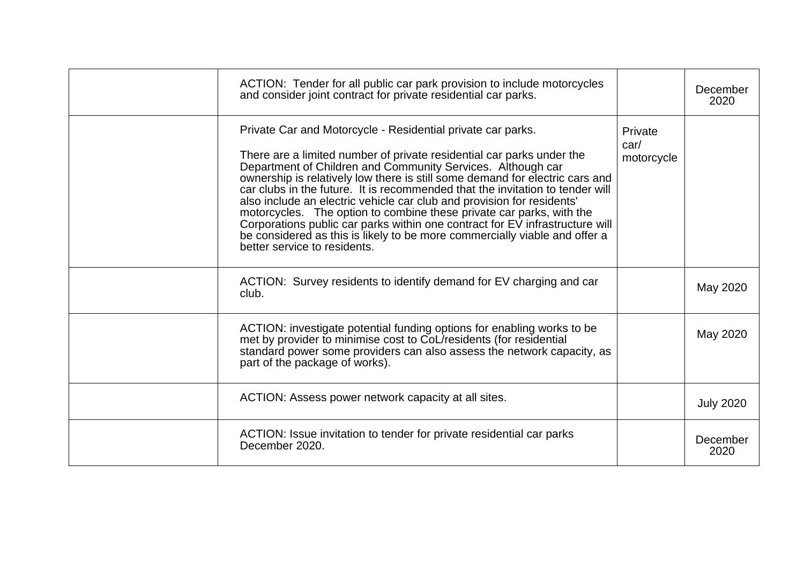| ACTION: Tender for all public car park provision to include motorcycles<br>and consider joint contract for private residential car parks.                                                                                                                                                                                                                                                                                                                                                                                                                                                                                                                                                                            |                               | December<br>2020 |
|----------------------------------------------------------------------------------------------------------------------------------------------------------------------------------------------------------------------------------------------------------------------------------------------------------------------------------------------------------------------------------------------------------------------------------------------------------------------------------------------------------------------------------------------------------------------------------------------------------------------------------------------------------------------------------------------------------------------|-------------------------------|------------------|
| Private Car and Motorcycle - Residential private car parks.<br>There are a limited number of private residential car parks under the<br>Department of Children and Community Services. Although car<br>ownership is relatively low there is still some demand for electric cars and<br>car clubs in the future. It is recommended that the invitation to tender will<br>also include an electric vehicle car club and provision for residents'<br>motorcycles. The option to combine these private car parks, with the<br>Corporations public car parks within one contract for EV infrastructure will<br>be considered as this is likely to be more commercially viable and offer a<br>better service to residents. | Private<br>car/<br>motorcycle |                  |
| ACTION: Survey residents to identify demand for EV charging and car<br>club.                                                                                                                                                                                                                                                                                                                                                                                                                                                                                                                                                                                                                                         |                               | May 2020         |
| ACTION: investigate potential funding options for enabling works to be<br>met by provider to minimise cost to CoL/residents (for residential<br>standard power some providers can also assess the network capacity, as<br>part of the package of works).                                                                                                                                                                                                                                                                                                                                                                                                                                                             |                               | May 2020         |
| ACTION: Assess power network capacity at all sites.                                                                                                                                                                                                                                                                                                                                                                                                                                                                                                                                                                                                                                                                  |                               | <b>July 2020</b> |
| ACTION: Issue invitation to tender for private residential car parks<br>December 2020.                                                                                                                                                                                                                                                                                                                                                                                                                                                                                                                                                                                                                               |                               | December<br>2020 |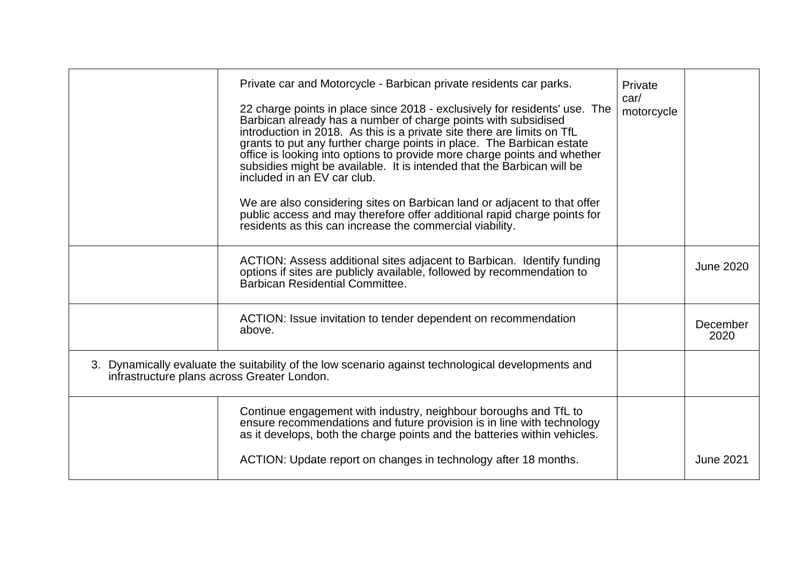| Private car and Motorcycle - Barbican private residents car parks.<br>22 charge points in place since 2018 - exclusively for residents' use. The<br>Barbican already has a number of charge points with subsidised<br>introduction in 2018. As this is a private site there are limits on TfL<br>grants to put any further charge points in place. The Barbican estate<br>office is looking into options to provide more charge points and whether<br>subsidies might be available. It is intended that the Barbican will be<br>included in an EV car club.<br>We are also considering sites on Barbican land or adjacent to that offer<br>public access and may therefore offer additional rapid charge points for<br>residents as this can increase the commercial viability. | Private<br>car/<br>motorcycle |                  |
|---------------------------------------------------------------------------------------------------------------------------------------------------------------------------------------------------------------------------------------------------------------------------------------------------------------------------------------------------------------------------------------------------------------------------------------------------------------------------------------------------------------------------------------------------------------------------------------------------------------------------------------------------------------------------------------------------------------------------------------------------------------------------------|-------------------------------|------------------|
| ACTION: Assess additional sites adjacent to Barbican. Identify funding<br>options if sites are publicly available, followed by recommendation to<br>Barbican Residential Committee.                                                                                                                                                                                                                                                                                                                                                                                                                                                                                                                                                                                             |                               | <b>June 2020</b> |
| ACTION: Issue invitation to tender dependent on recommendation<br>above.                                                                                                                                                                                                                                                                                                                                                                                                                                                                                                                                                                                                                                                                                                        |                               | December<br>2020 |
| 3. Dynamically evaluate the suitability of the low scenario against technological developments and<br>infrastructure plans across Greater London.                                                                                                                                                                                                                                                                                                                                                                                                                                                                                                                                                                                                                               |                               |                  |
| Continue engagement with industry, neighbour boroughs and TfL to<br>ensure recommendations and future provision is in line with technology<br>as it develops, both the charge points and the batteries within vehicles.                                                                                                                                                                                                                                                                                                                                                                                                                                                                                                                                                         |                               |                  |
| ACTION: Update report on changes in technology after 18 months.                                                                                                                                                                                                                                                                                                                                                                                                                                                                                                                                                                                                                                                                                                                 |                               | <b>June 2021</b> |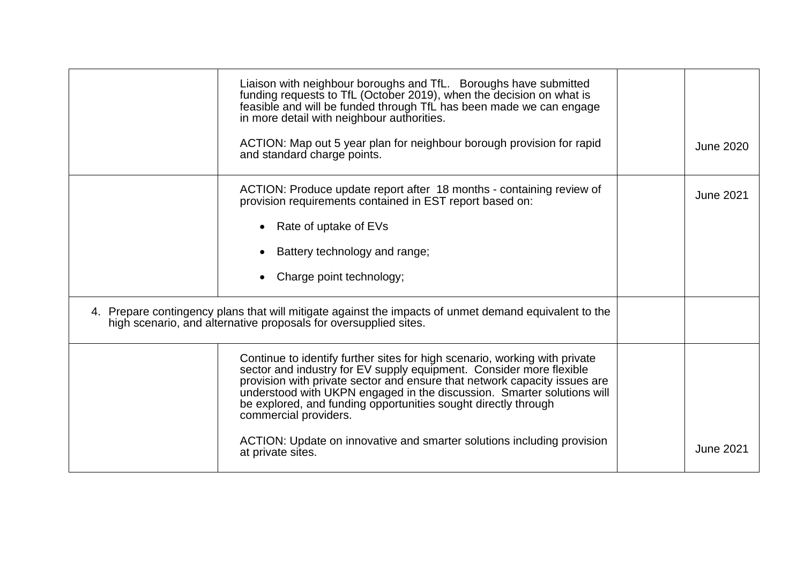| Liaison with neighbour boroughs and TfL. Boroughs have submitted<br>funding requests to TfL (October 2019), when the decision on what is feasible and will be funded through TfL has been made we can engage<br>in more detail with neighbour authorities.<br>ACTION: Map out 5 year plan for neighbour borough provision for rapid<br>and standard charge points.                                  | <b>June 2020</b> |
|-----------------------------------------------------------------------------------------------------------------------------------------------------------------------------------------------------------------------------------------------------------------------------------------------------------------------------------------------------------------------------------------------------|------------------|
| ACTION: Produce update report after 18 months - containing review of<br>provision requirements contained in EST report based on:                                                                                                                                                                                                                                                                    | <b>June 2021</b> |
| Rate of uptake of EVs                                                                                                                                                                                                                                                                                                                                                                               |                  |
| Battery technology and range;                                                                                                                                                                                                                                                                                                                                                                       |                  |
| Charge point technology;                                                                                                                                                                                                                                                                                                                                                                            |                  |
| 4. Prepare contingency plans that will mitigate against the impacts of unmet demand equivalent to the<br>high scenario, and alternative proposals for oversupplied sites.                                                                                                                                                                                                                           |                  |
| Continue to identify further sites for high scenario, working with private<br>sector and industry for EV supply equipment. Consider more flexible<br>provision with private sector and ensure that network capacity issues are<br>understood with UKPN engaged in the discussion. Smarter solutions will<br>be explored, and funding opportunities sought directly through<br>commercial providers. |                  |
| ACTION: Update on innovative and smarter solutions including provision<br>at private sites.                                                                                                                                                                                                                                                                                                         | <b>June 2021</b> |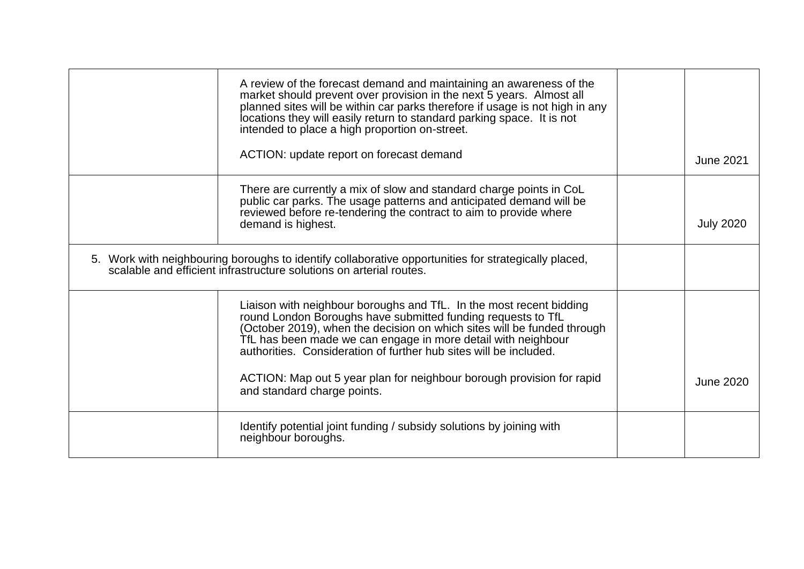| A review of the forecast demand and maintaining an awareness of the<br>market should prevent over provision in the next 5 years. Almost all<br>planned sites will be within car parks therefore if usage is not high in any<br>locations they will easily return to standard parking space. It is not<br>intended to place a high proportion on-street.                                                                                                      |  |                  |
|--------------------------------------------------------------------------------------------------------------------------------------------------------------------------------------------------------------------------------------------------------------------------------------------------------------------------------------------------------------------------------------------------------------------------------------------------------------|--|------------------|
| ACTION: update report on forecast demand                                                                                                                                                                                                                                                                                                                                                                                                                     |  | <b>June 2021</b> |
| There are currently a mix of slow and standard charge points in CoL<br>public car parks. The usage patterns and anticipated demand will be<br>reviewed before re-tendering the contract to aim to provide where<br>demand is highest.                                                                                                                                                                                                                        |  | <b>July 2020</b> |
| 5. Work with neighbouring boroughs to identify collaborative opportunities for strategically placed,<br>scalable and efficient infrastructure solutions on arterial routes.                                                                                                                                                                                                                                                                                  |  |                  |
| Liaison with neighbour boroughs and TfL. In the most recent bidding<br>round London Boroughs have submitted funding requests to TfL<br>(October 2019), when the decision on which sites will be funded through<br>TfL has been made we can engage in more detail with neighbour<br>authorities. Consideration of further hub sites will be included.<br>ACTION: Map out 5 year plan for neighbour borough provision for rapid<br>and standard charge points. |  | <b>June 2020</b> |
| Identify potential joint funding / subsidy solutions by joining with<br>neighbour boroughs.                                                                                                                                                                                                                                                                                                                                                                  |  |                  |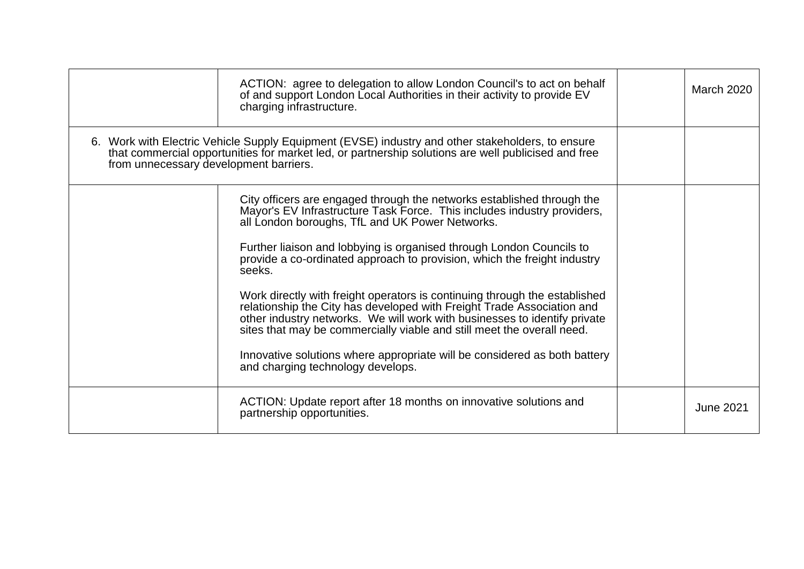|                                                                                                                                                                                                                                                   | ACTION: agree to delegation to allow London Council's to act on behalf<br>of and support London Local Authorities in their activity to provide EV<br>charging infrastructure.                                                                                                                                                                                                                                                                                                                                                                                                                                                                                                                                                                                                                       | <b>March 2020</b> |
|---------------------------------------------------------------------------------------------------------------------------------------------------------------------------------------------------------------------------------------------------|-----------------------------------------------------------------------------------------------------------------------------------------------------------------------------------------------------------------------------------------------------------------------------------------------------------------------------------------------------------------------------------------------------------------------------------------------------------------------------------------------------------------------------------------------------------------------------------------------------------------------------------------------------------------------------------------------------------------------------------------------------------------------------------------------------|-------------------|
| 6. Work with Electric Vehicle Supply Equipment (EVSE) industry and other stakeholders, to ensure<br>that commercial opportunities for market led, or partnership solutions are well publicised and free<br>from unnecessary development barriers. |                                                                                                                                                                                                                                                                                                                                                                                                                                                                                                                                                                                                                                                                                                                                                                                                     |                   |
|                                                                                                                                                                                                                                                   | City officers are engaged through the networks established through the<br>Mayor's EV Infrastructure Task Force. This includes industry providers,<br>all London boroughs, TfL and UK Power Networks.<br>Further liaison and lobbying is organised through London Councils to<br>provide a co-ordinated approach to provision, which the freight industry<br>seeks.<br>Work directly with freight operators is continuing through the established<br>relationship the City has developed with Freight Trade Association and<br>other industry networks. We will work with businesses to identify private<br>sites that may be commercially viable and still meet the overall need.<br>Innovative solutions where appropriate will be considered as both battery<br>and charging technology develops. |                   |
|                                                                                                                                                                                                                                                   | ACTION: Update report after 18 months on innovative solutions and<br>partnership opportunities.                                                                                                                                                                                                                                                                                                                                                                                                                                                                                                                                                                                                                                                                                                     | <b>June 2021</b>  |